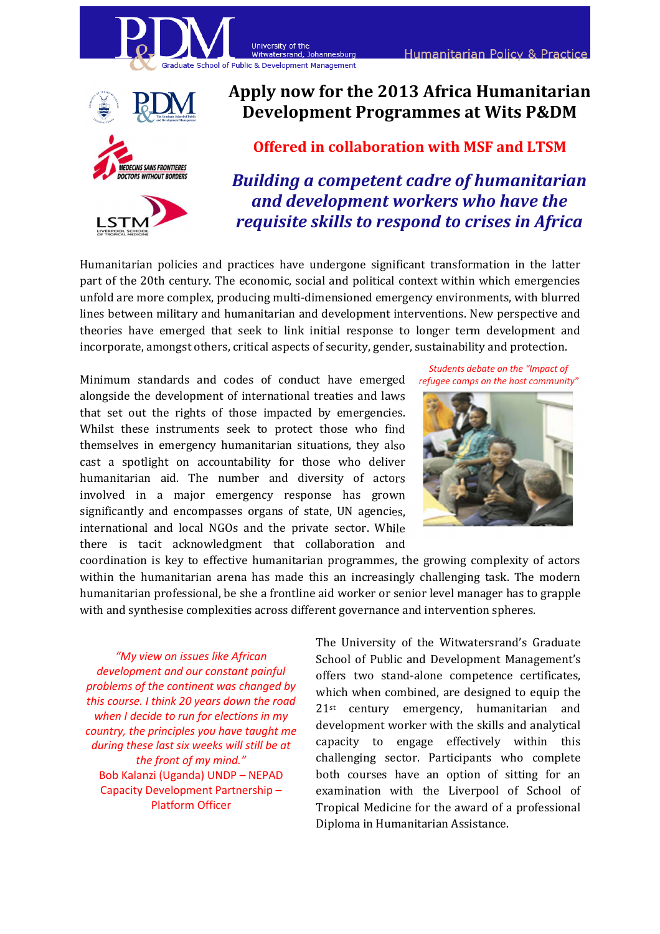



# Apply now for the 2013 Africa Humanitarian Development Programmes at Wits P&DM

## Offered in collaboration with MSF and LTSM

Building a competent cadre of humanitarian and development workers who have the requisite skills to respond to crises in Africa

Humanitarian policies and practices have undergone significant transformation in the latter part of the 20th century. The economic, social and political context within which emergencies unfold are more complex, producing multi-dimensioned emergency environments, with blurred lines between military and humanitarian and development interventions. New perspective and theories have emerged that seek to link initial response to longer term development and incorporate, amongst others, critical aspects of security, gender, sustainability and protection.

Minimum standards and codes of conduct have emerged alongside the development of international treaties and laws that set out the rights of those impacted by emergencies. Whilst these instruments seek to protect those who find themselves in emergency humanitarian situations, they also cast a spotlight on accountability for those who deliver humanitarian aid. The number and diversity of actors involved in a major emergency response has grown significantly and encompasses organs of state, UN agencies, international and local NGOs and the private sector. While there is tacit acknowledgment that collaboration and



Students debate on the "Impact of

**Humanitarian Policy & Practice** 

coordination is key to effective humanitarian programmes, the growing complexity of actors within the humanitarian arena has made this an increasingly challenging task. The modern humanitarian professional, be she a frontline aid worker or senior level manager has to grapple with and synthesise complexities across different governance and intervention spheres.

"My view on issues like African development and our constant painful problems of the continent was changed by this course. I think 20 years down the road when I decide to run for elections in my country, the principles you have taught me during these last six weeks will still be at the front of my mind." Bob Kalanzi (Uganda) UNDP – NEPAD Capacity Development Partnership – Platform Officer

The University of the Witwatersrand's Graduate School of Public and Development Management's offers two stand-alone competence certificates, which when combined, are designed to equip the 21st century emergency, humanitarian and development worker with the skills and analytical capacity to engage effectively within this challenging sector. Participants who complete both courses have an option of sitting for an examination with the Liverpool of School of Tropical Medicine for the award of a professional Diploma in Humanitarian Assistance.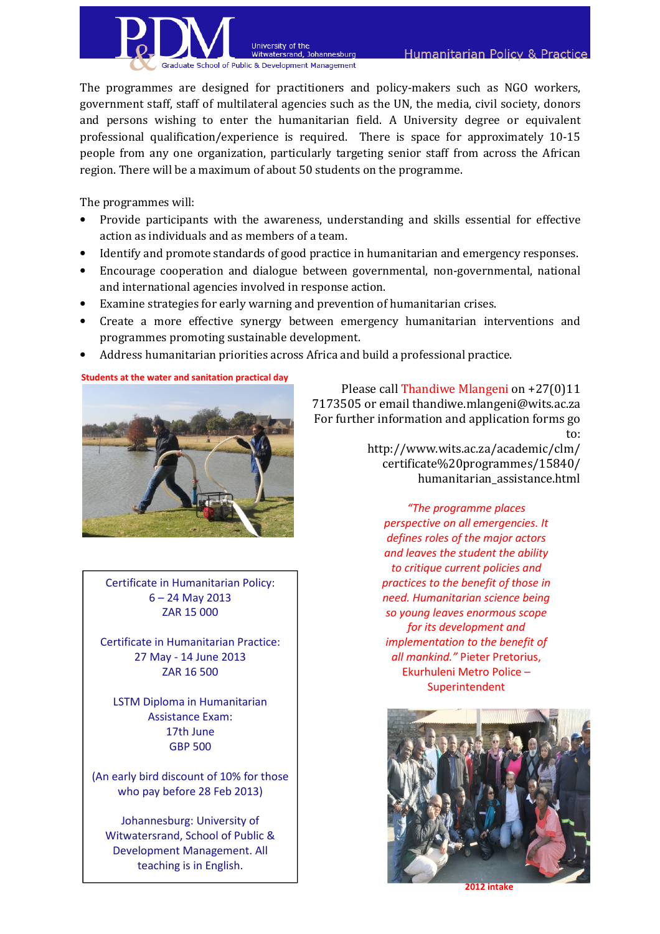

The programmes are designed for practitioners and policy-makers such as NGO workers, government staff, staff of multilateral agencies such as the UN, the media, civil society, donors and persons wishing to enter the humanitarian field. A University degree or equivalent professional qualification/experience is required. There is space for approximately 10-15 people from any one organization, particularly targeting senior staff from across the African region. There will be a maximum of about 50 students on the programme.

The programmes will:

- Provide participants with the awareness, understanding and skills essential for effective action as individuals and as members of a team.
- Identify and promote standards of good practice in humanitarian and emergency responses.
- Encourage cooperation and dialogue between governmental, non-governmental, national and international agencies involved in response action.
- Examine strategies for early warning and prevention of humanitarian crises.

University of the

witwatersrand, Johannesburg

- Create a more effective synergy between emergency humanitarian interventions and programmes promoting sustainable development.
- Address humanitarian priorities across Africa and build a professional practice.

Students at the water and sanitation practical day



Certificate in Humanitarian Policy: 6 – 24 May 2013 ZAR 15 000

Certificate in Humanitarian Practice: 27 May ‐ 14 June 2013 ZAR 16 500

LSTM Diploma in Humanitarian Assistance Exam: 17th June GBP 500

(An early bird discount of 10% for those who pay before 28 Feb 2013)

Johannesburg: University of Witwatersrand, School of Public & Development Management. All teaching is in English.

Please call Thandiwe Mlangeni on +27(0)11 7173505 or email thandiwe.mlangeni@wits.ac.za For further information and application forms go to:

http://www.wits.ac.za/academic/clm/ certificate%20programmes/15840/ humanitarian\_assistance.html

"The programme places perspective on all emergencies. It defines roles of the major actors and leaves the student the ability to critique current policies and practices to the benefit of those in need. Humanitarian science being so young leaves enormous scope for its development and implementation to the benefit of all mankind." Pieter Pretorius, Ekurhuleni Metro Police – Superintendent



2012 intake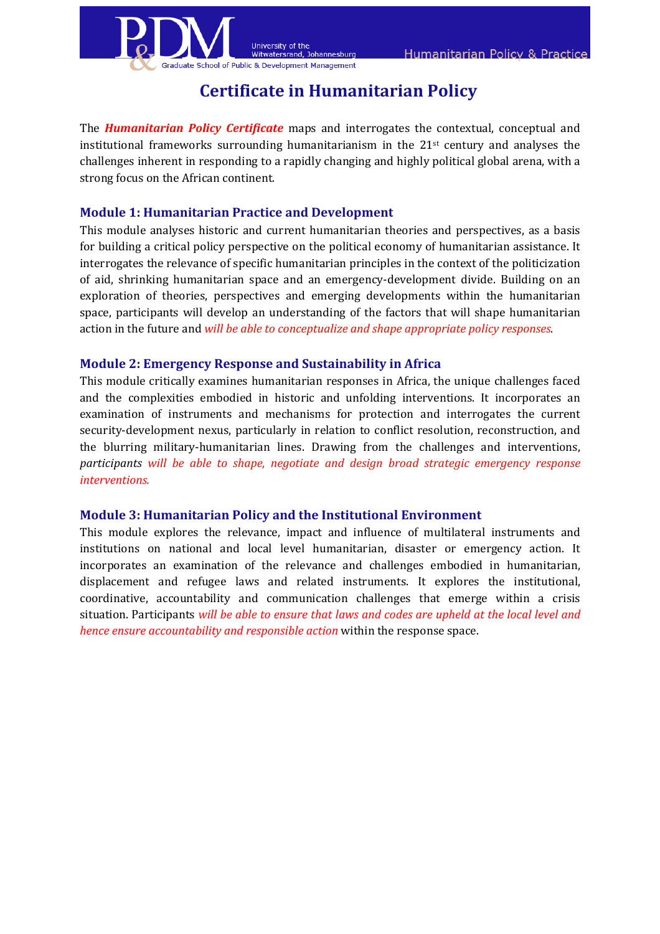



# Certificate in Humanitarian Policy

**Johannesburg** 

The **Humanitarian Policy Certificate** maps and interrogates the contextual, conceptual and institutional frameworks surrounding humanitarianism in the  $21<sup>st</sup>$  century and analyses the challenges inherent in responding to a rapidly changing and highly political global arena, with a strong focus on the African continent.

## Module 1: Humanitarian Practice and Development

This module analyses historic and current humanitarian theories and perspectives, as a basis for building a critical policy perspective on the political economy of humanitarian assistance. It interrogates the relevance of specific humanitarian principles in the context of the politicization of aid, shrinking humanitarian space and an emergency-development divide. Building on an exploration of theories, perspectives and emerging developments within the humanitarian space, participants will develop an understanding of the factors that will shape humanitarian action in the future and will be able to conceptualize and shape appropriate policy responses.

### Module 2: Emergency Response and Sustainability in Africa

This module critically examines humanitarian responses in Africa, the unique challenges faced and the complexities embodied in historic and unfolding interventions. It incorporates an examination of instruments and mechanisms for protection and interrogates the current security-development nexus, particularly in relation to conflict resolution, reconstruction, and the blurring military-humanitarian lines. Drawing from the challenges and interventions, participants will be able to shape, negotiate and design broad strategic emergency response interventions.

### Module 3: Humanitarian Policy and the Institutional Environment

This module explores the relevance, impact and influence of multilateral instruments and institutions on national and local level humanitarian, disaster or emergency action. It incorporates an examination of the relevance and challenges embodied in humanitarian, displacement and refugee laws and related instruments. It explores the institutional, coordinative, accountability and communication challenges that emerge within a crisis situation. Participants will be able to ensure that laws and codes are upheld at the local level and hence ensure accountability and responsible action within the response space.